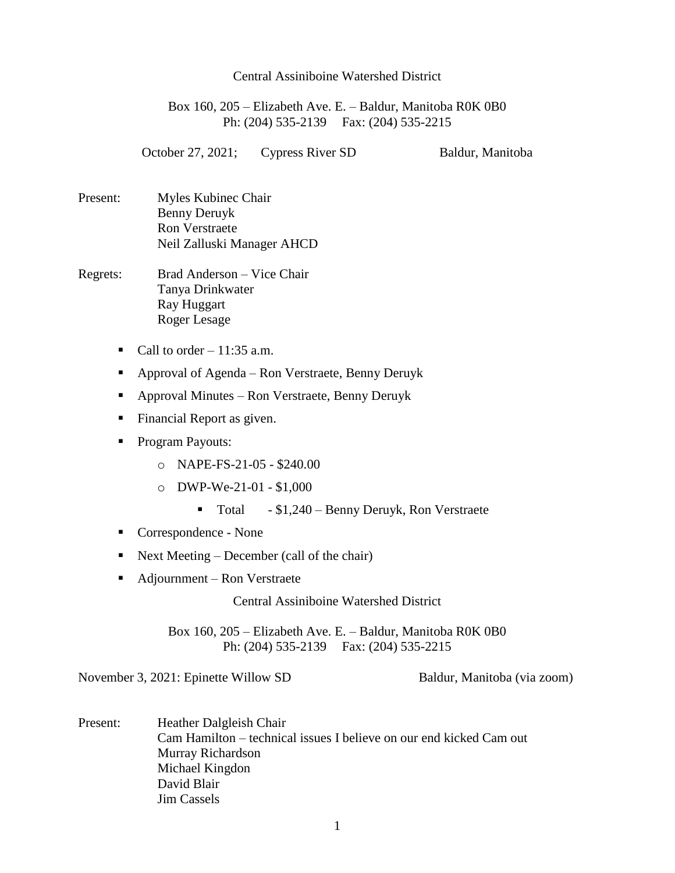## Central Assiniboine Watershed District

Box 160, 205 – Elizabeth Ave. E. – Baldur, Manitoba R0K 0B0 Ph: (204) 535-2139 Fax: (204) 535-2215

October 27, 2021; Cypress River SD Baldur, Manitoba

- Present: Myles Kubinec Chair Benny Deruyk Ron Verstraete Neil Zalluski Manager AHCD
- Regrets: Brad Anderson Vice Chair Tanya Drinkwater Ray Huggart Roger Lesage
	- Call to order  $-11:35$  a.m.
	- Approval of Agenda Ron Verstraete, Benny Deruyk
	- Approval Minutes Ron Verstraete, Benny Deruyk
	- Financial Report as given.
	- Program Payouts:
		- o NAPE-FS-21-05 \$240.00
		- o DWP-We-21-01 \$1,000
			- Total \$1,240 Benny Deruyk, Ron Verstraete
	- Correspondence None
	- Next Meeting December (call of the chair)
	- Adjournment Ron Verstraete

Central Assiniboine Watershed District

Box 160, 205 – Elizabeth Ave. E. – Baldur, Manitoba R0K 0B0 Ph: (204) 535-2139 Fax: (204) 535-2215

November 3, 2021: Epinette Willow SD Baldur, Manitoba (via zoom)

Present: Heather Dalgleish Chair Cam Hamilton – technical issues I believe on our end kicked Cam out Murray Richardson Michael Kingdon David Blair Jim Cassels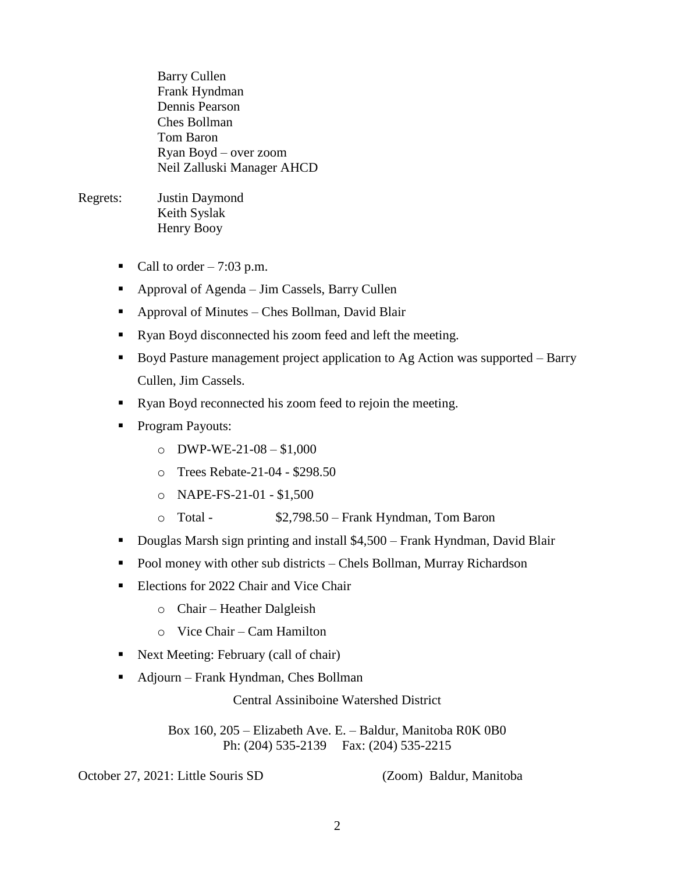Barry Cullen Frank Hyndman Dennis Pearson Ches Bollman Tom Baron Ryan Boyd – over zoom Neil Zalluski Manager AHCD

## Regrets: Justin Daymond Keith Syslak Henry Booy

- Call to order  $-7:03$  p.m.
- Approval of Agenda Jim Cassels, Barry Cullen
- Approval of Minutes Ches Bollman, David Blair
- Ryan Boyd disconnected his zoom feed and left the meeting.
- Boyd Pasture management project application to Ag Action was supported Barry Cullen, Jim Cassels.
- Ryan Boyd reconnected his zoom feed to rejoin the meeting.
- Program Payouts:
	- $O$  DWP-WE-21-08 \$1,000
	- o Trees Rebate-21-04 \$298.50
	- o NAPE-FS-21-01 \$1,500
	- o Total \$2,798.50 Frank Hyndman, Tom Baron
- Douglas Marsh sign printing and install \$4,500 Frank Hyndman, David Blair
- Pool money with other sub districts Chels Bollman, Murray Richardson
- Elections for 2022 Chair and Vice Chair
	- o Chair Heather Dalgleish
	- o Vice Chair Cam Hamilton
- Next Meeting: February (call of chair)
- Adjourn Frank Hyndman, Ches Bollman

Central Assiniboine Watershed District

Box 160, 205 – Elizabeth Ave. E. – Baldur, Manitoba R0K 0B0 Ph: (204) 535-2139 Fax: (204) 535-2215

October 27, 2021: Little Souris SD (Zoom) Baldur, Manitoba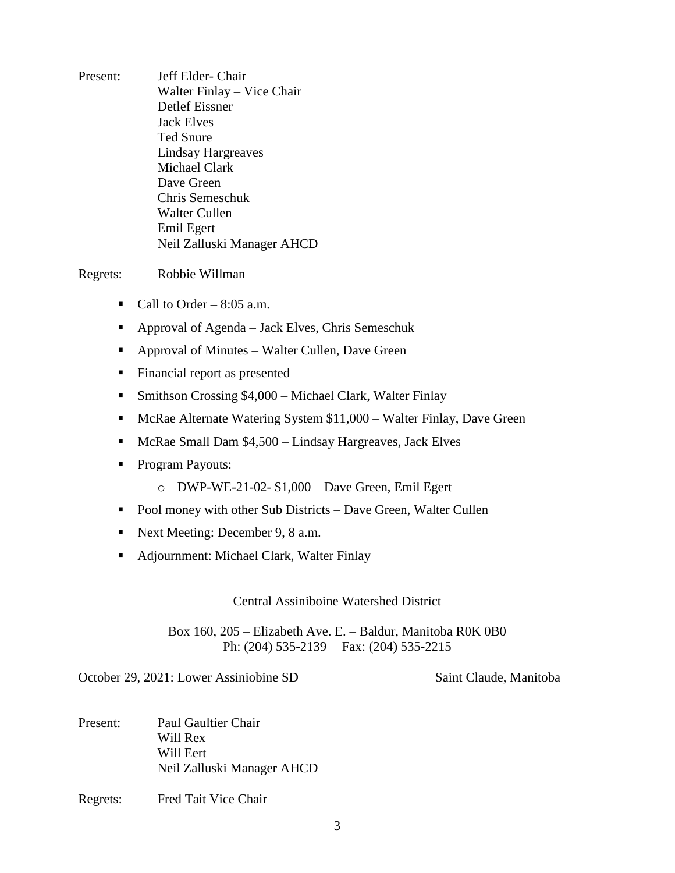Present: Jeff Elder- Chair Walter Finlay – Vice Chair Detlef Eissner Jack Elves Ted Snure Lindsay Hargreaves Michael Clark Dave Green Chris Semeschuk Walter Cullen Emil Egert Neil Zalluski Manager AHCD

Regrets: Robbie Willman

- Call to Order  $8:05$  a.m.
- Approval of Agenda Jack Elves, Chris Semeschuk
- Approval of Minutes Walter Cullen, Dave Green
- Financial report as presented  $-$
- Smithson Crossing \$4,000 Michael Clark, Walter Finlay
- McRae Alternate Watering System \$11,000 Walter Finlay, Dave Green
- $\blacksquare$  McRae Small Dam \$4,500 Lindsay Hargreaves, Jack Elves
- Program Payouts:
	- $\circ$  DWP-WE-21-02- \$1,000 Dave Green, Emil Egert
- Pool money with other Sub Districts Dave Green, Walter Cullen
- Next Meeting: December 9, 8 a.m.
- Adjournment: Michael Clark, Walter Finlay

Central Assiniboine Watershed District

Box 160, 205 – Elizabeth Ave. E. – Baldur, Manitoba R0K 0B0 Ph: (204) 535-2139 Fax: (204) 535-2215

October 29, 2021: Lower Assiniobine SD Saint Claude, Manitoba

- Present: Paul Gaultier Chair Will Rex Will Eert Neil Zalluski Manager AHCD
- Regrets: Fred Tait Vice Chair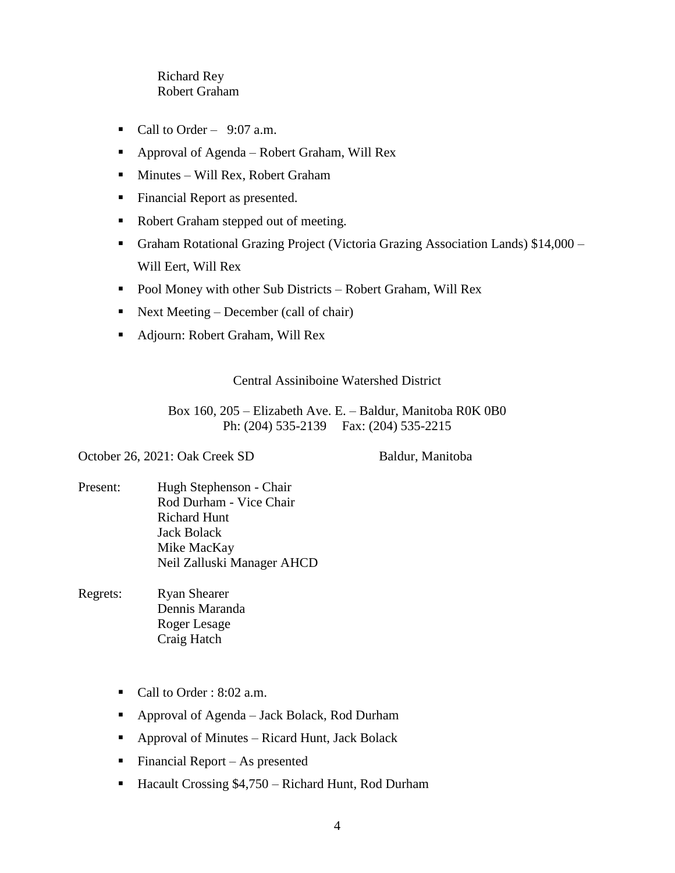## Richard Rey Robert Graham

- Call to Order  $9:07$  a.m.
- Approval of Agenda Robert Graham, Will Rex
- Minutes Will Rex, Robert Graham
- **Financial Report as presented.**
- Robert Graham stepped out of meeting.
- Graham Rotational Grazing Project (Victoria Grazing Association Lands) \$14,000 Will Eert, Will Rex
- Pool Money with other Sub Districts Robert Graham, Will Rex
- Next Meeting December (call of chair)
- Adjourn: Robert Graham, Will Rex

## Central Assiniboine Watershed District

Box 160, 205 – Elizabeth Ave. E. – Baldur, Manitoba R0K 0B0 Ph: (204) 535-2139 Fax: (204) 535-2215

October 26, 2021: Oak Creek SD Baldur, Manitoba

- Present: Hugh Stephenson Chair Rod Durham - Vice Chair Richard Hunt Jack Bolack Mike MacKay Neil Zalluski Manager AHCD
- Regrets: Ryan Shearer Dennis Maranda Roger Lesage Craig Hatch
	- Call to Order : 8:02 a.m.
	- Approval of Agenda Jack Bolack, Rod Durham
	- Approval of Minutes Ricard Hunt, Jack Bolack
	- Financial Report As presented
	- Hacault Crossing \$4,750 Richard Hunt, Rod Durham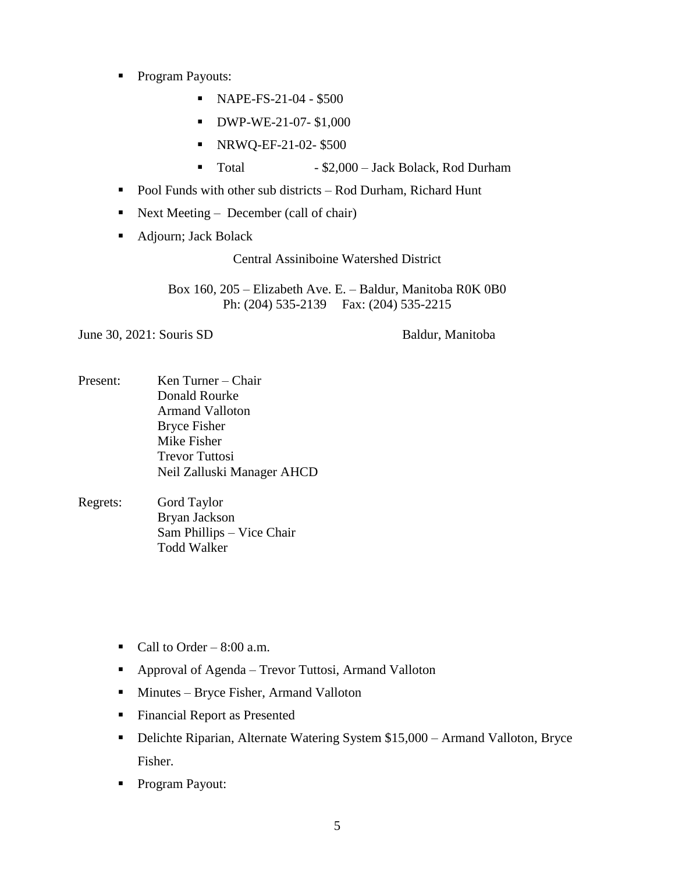- **Program Payouts:** 
	- $NAPE-FS-21-04 $500$
	- **DWP-WE-21-07-\$1,000**
	- NRWQ-EF-21-02-\$500
	- Total \$2,000 Jack Bolack, Rod Durham
- Pool Funds with other sub districts Rod Durham, Richard Hunt
- Next Meeting December (call of chair)
- Adjourn; Jack Bolack

Central Assiniboine Watershed District

Box 160, 205 – Elizabeth Ave. E. – Baldur, Manitoba R0K 0B0 Ph: (204) 535-2139 Fax: (204) 535-2215

June 30, 2021: Souris SD Baldur, Manitoba

- Present: Ken Turner Chair Donald Rourke Armand Valloton Bryce Fisher Mike Fisher Trevor Tuttosi Neil Zalluski Manager AHCD
- Regrets: Gord Taylor Bryan Jackson Sam Phillips – Vice Chair Todd Walker
	- Call to Order  $8:00$  a.m.
	- Approval of Agenda Trevor Tuttosi, Armand Valloton
	- **Minutes Bryce Fisher, Armand Valloton**
	- **Financial Report as Presented**
	- Delichte Riparian, Alternate Watering System \$15,000 Armand Valloton, Bryce Fisher.
	- **Program Payout:**